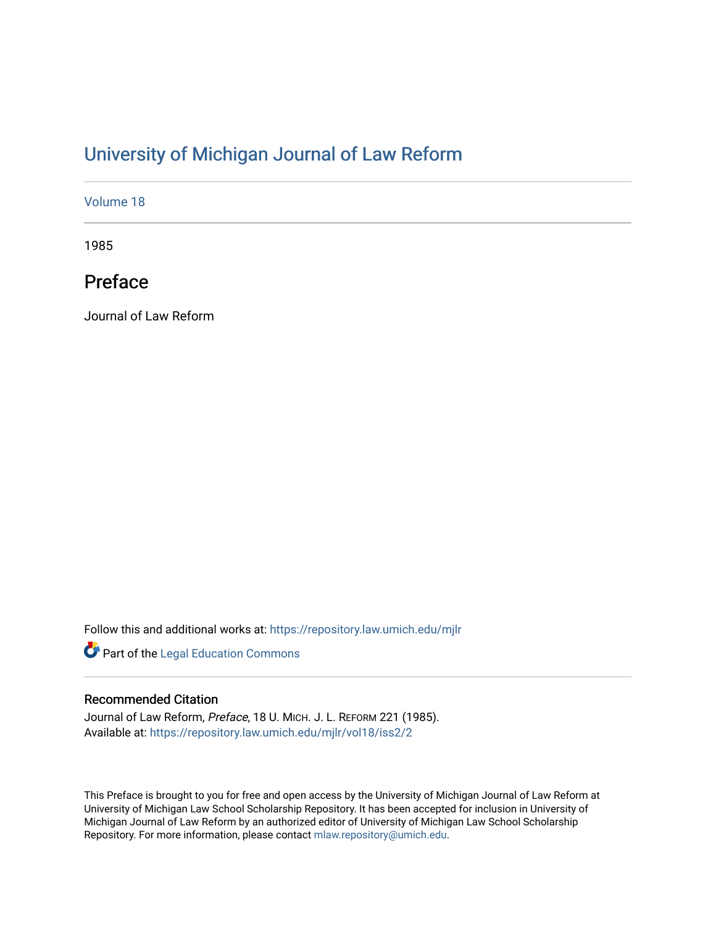## [University of Michigan Journal of Law Reform](https://repository.law.umich.edu/mjlr)

[Volume 18](https://repository.law.umich.edu/mjlr/vol18)

1985

# Preface

Journal of Law Reform

Follow this and additional works at: [https://repository.law.umich.edu/mjlr](https://repository.law.umich.edu/mjlr?utm_source=repository.law.umich.edu%2Fmjlr%2Fvol18%2Fiss2%2F2&utm_medium=PDF&utm_campaign=PDFCoverPages) 

**Part of the Legal Education Commons** 

### Recommended Citation

Journal of Law Reform, Preface, 18 U. MICH. J. L. REFORM 221 (1985). Available at: [https://repository.law.umich.edu/mjlr/vol18/iss2/2](https://repository.law.umich.edu/mjlr/vol18/iss2/2?utm_source=repository.law.umich.edu%2Fmjlr%2Fvol18%2Fiss2%2F2&utm_medium=PDF&utm_campaign=PDFCoverPages) 

This Preface is brought to you for free and open access by the University of Michigan Journal of Law Reform at University of Michigan Law School Scholarship Repository. It has been accepted for inclusion in University of Michigan Journal of Law Reform by an authorized editor of University of Michigan Law School Scholarship Repository. For more information, please contact [mlaw.repository@umich.edu](mailto:mlaw.repository@umich.edu).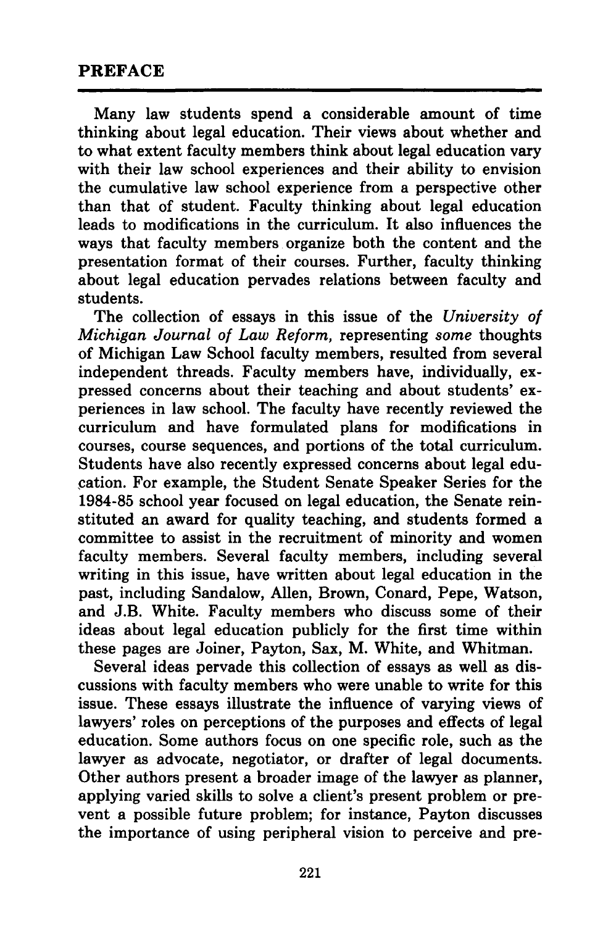#### **PREFACE**

Many law students spend a considerable amount of time thinking about legal education. Their views about whether and to what extent faculty members think about legal education vary with their law school experiences and their ability to envision the cumulative law school experience from a perspective other than that of student. Faculty thinking about legal education leads to modifications in the curriculum. It also influences the ways that faculty members organize both the content and the presentation format of their courses. Further, faculty thinking about legal education pervades relations between faculty and students.

The collection of essays in this issue of the *University of Michigan Journal of Law Reform,* representing *some* thoughts of Michigan Law School faculty members, resulted from several independent threads. Faculty members have, individually, expressed concerns about their teaching and about students' experiences in law school. The faculty have recently reviewed the curriculum and have formulated plans for modifications in courses, course sequences, and portions of the total curriculum. Students have also recently expressed concerns about legal edu cation. For example, the Student Senate Speaker Series for the 1984-85 school year focused on legal education, the Senate reinstituted an award for quality teaching, and students formed a committee to assist in the recruitment of minority and women faculty members. Several faculty members, including several writing in this issue, have written about legal education in the past, including Sandalow, Allen, Brown, Conard, Pepe, Watson, and J.B. White. Faculty members who discuss some of their ideas about legal education publicly for the first time within these pages are Joiner, Payton, Sax, M. White, and Whitman.

Several ideas pervade this collection of essays as well as discussions with faculty members who were unable to write for this issue. These essays illustrate the influence of varying views of lawyers' roles on perceptions of the purposes and effects of legal education. Some authors focus on one specific role, such as the lawyer as advocate, negotiator, or drafter of legal documents. Other authors present a broader image of the lawyer as planner, applying varied skills to solve a client's present problem or prevent a possible future problem; for instance, Payton discusses the importance of using peripheral vision to perceive and pre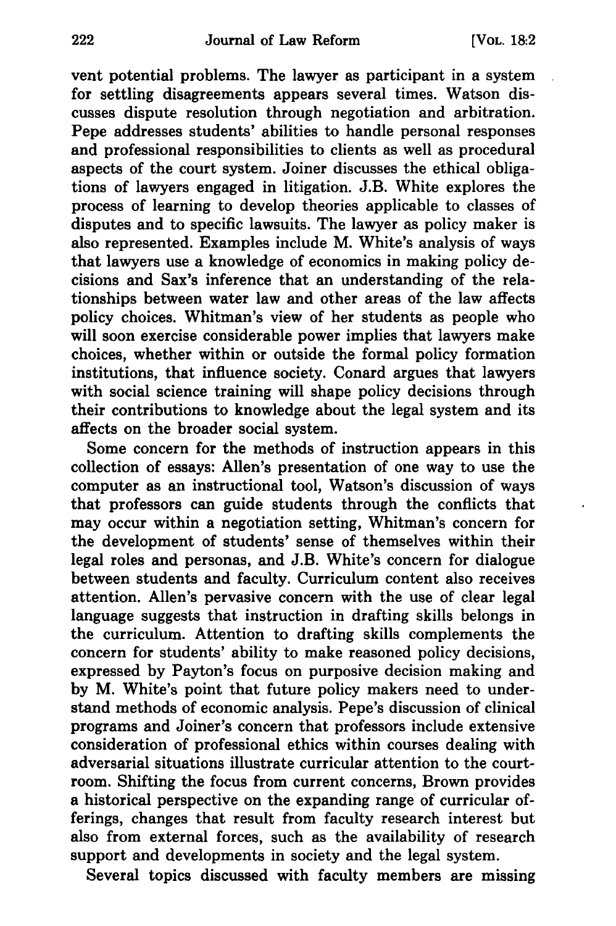vent potential problems. The lawyer as participant in a system for settling disagreements appears several times. Watson discusses dispute resolution through negotiation and arbitration. Pepe addresses students' abilities to handle personal responses and professional responsibilities to clients as well as procedural aspects of the court system. Joiner discusses the ethical obligations of lawyers engaged in litigation. J.B. White explores the process of learning to develop theories applicable to classes of disputes and to specific lawsuits. The lawyer as policy maker is also represented. Examples include M. White's analysis of ways that lawyers use a knowledge of economics in making policy decisions and Sax's inference that an understanding of the relationships between water law and other areas of the law affects policy choices. Whitman's view of her students as people who will soon exercise considerable power implies that lawyers make choices, whether within or outside the formal policy formation institutions, that influence society. Conard argues that lawyers with social science training will shape policy decisions through their contributions to knowledge about the legal system and its affects on the broader social system.

Some concern for the methods of instruction appears in this collection of essays: Allen's presentation of one way to use the computer as an instructional tool, Watson's discussion of ways that professors can guide students through the conflicts that may occur within a negotiation setting, Whitman's concern for the development of students' sense of themselves within their legal roles and personas, and J.B. White's concern for dialogue between students and faculty. Curriculum content also receives attention. Allen's pervasive concern with the use of clear legal language suggests that instruction in drafting skills belongs in the curriculum. Attention to drafting skills complements the concern for students' ability to make reasoned policy decisions, expressed by Payton's focus on purposive decision making and by M. White's point that future policy makers need to understand methods of economic analysis. Pepe's discussion of clinical programs and Joiner's concern that professors include extensive consideration of professional ethics within courses dealing with adversarial situations illustrate curricular attention to the courtroom. Shifting the focus from current concerns, Brown provides a historical perspective on the expanding range of curricular offerings, changes that result from faculty research interest but also from external forces, such as the availability of research support and developments in society and the legal system.

Several topics discussed with faculty members are missing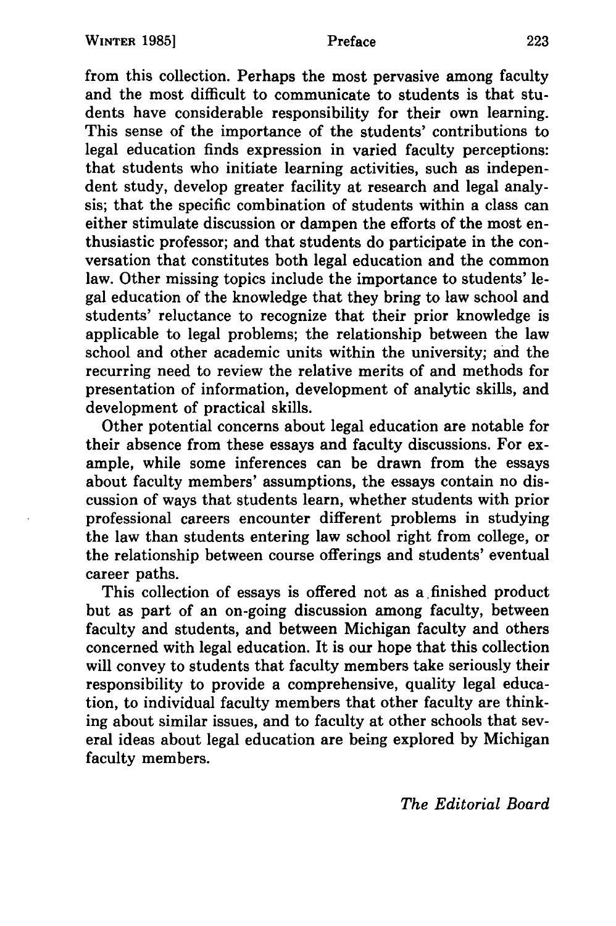from this collection. Perhaps the most pervasive among faculty and the most difficult to communicate to students is that students have considerable responsibility for their own learning. This sense of the importance of the students' contributions to legal education finds expression in varied faculty perceptions: that students who initiate learning activities, such as independent study, develop greater facility at research and legal analysis; that the specific combination of students within a class can either stimulate discussion or dampen the efforts of the most enthusiastic professor; and that students do participate in the conversation that constitutes both legal education and the common law. Other missing topics include the importance to students' legal education of the knowledge that they bring to law school and students' reluctance to recognize that their prior knowledge is applicable to legal problems; the relationship between the law school and other academic units within the university; and the recurring need to review the relative merits of and methods for presentation of information, development of analytic skills, and development of practical skills.

Other potential concerns about legal education are notable for their absence from these essays and faculty discussions. For example, while some inferences can be drawn from the essays about faculty members' assumptions, the essays contain no discussion of ways that students learn, whether students with prior professional careers encounter different problems in studying the law than students entering law school right from college, or the relationship between course offerings and students' eventual career paths.

This collection of essays is offered not as a finished product but as part of an on-going discussion among faculty, between faculty and students, and between Michigan faculty and others concerned with legal education. It is our hope that this collection will convey to students that faculty members take seriously their responsibility to provide a comprehensive, quality legal education, to individual faculty members that other faculty are thinking about similar issues, and to faculty at other schools that several ideas about legal education are being explored by Michigan faculty members.

*The Editorial Board*